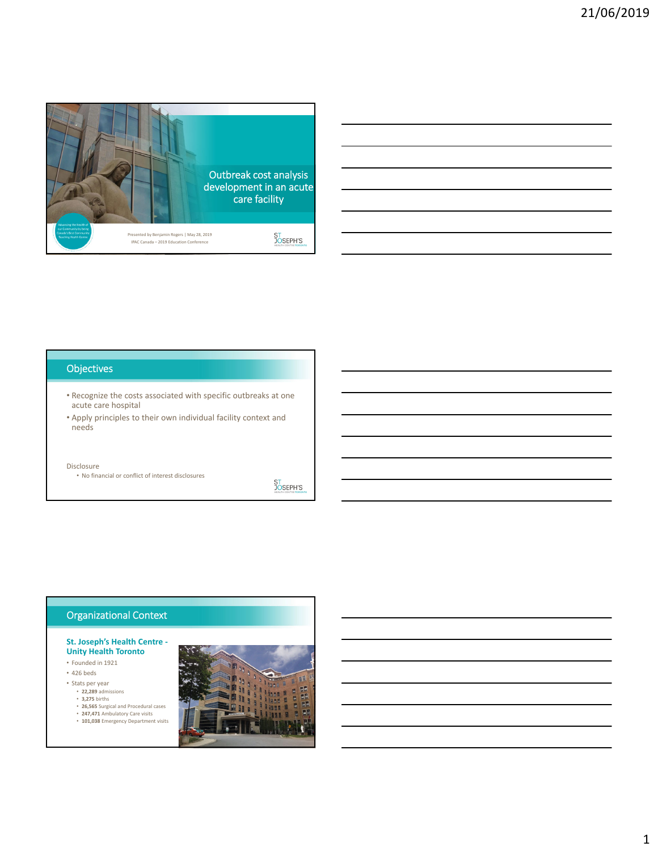

# **Objectives**

- Recognize the costs associated with specific outbreaks at one acute care hospital
- Apply principles to their own individual facility context and needs

#### Disclosure

• No financial or conflict of interest disclosures

ST<br>JOSEPH'S

# Organizational Context

### **St. Joseph's Health Centre ‐ Unity Health Toronto**

- Founded in 1921
- 426 beds
- Stats per year **22,289** admissions
	- **3,275** births
	-
	- **26,565** Surgical and Procedural cases **247,471** Ambulatory Care visits **101,038** Emergency Department visits

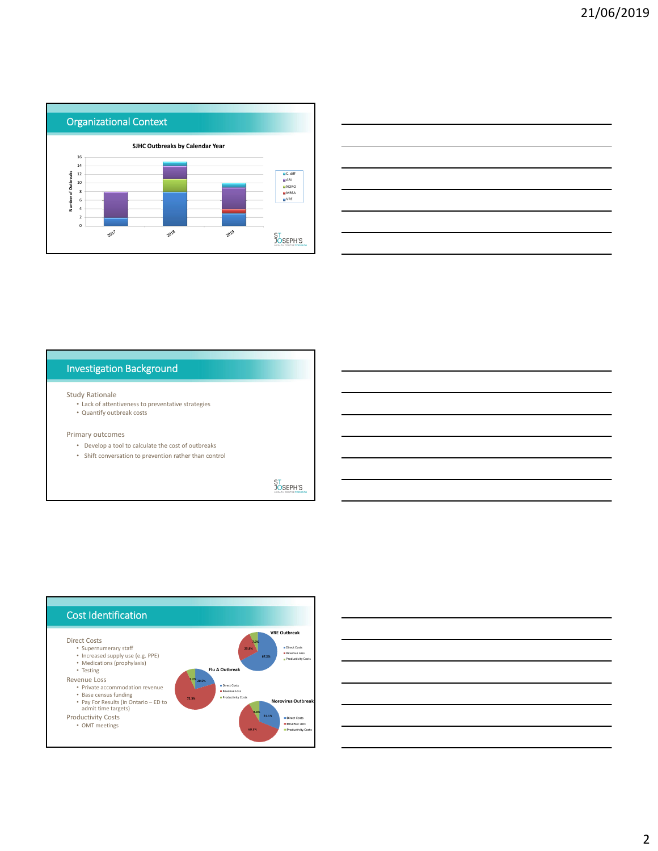



# Investigation Background

#### Study Rationale

- Lack of attentiveness to preventative strategies
- Quantify outbreak costs

### Primary outcomes

- Develop a tool to calculate the cost of outbreaks
- Shift conversation to prevention rather than control

**ST<br>JOSEPH'S** 



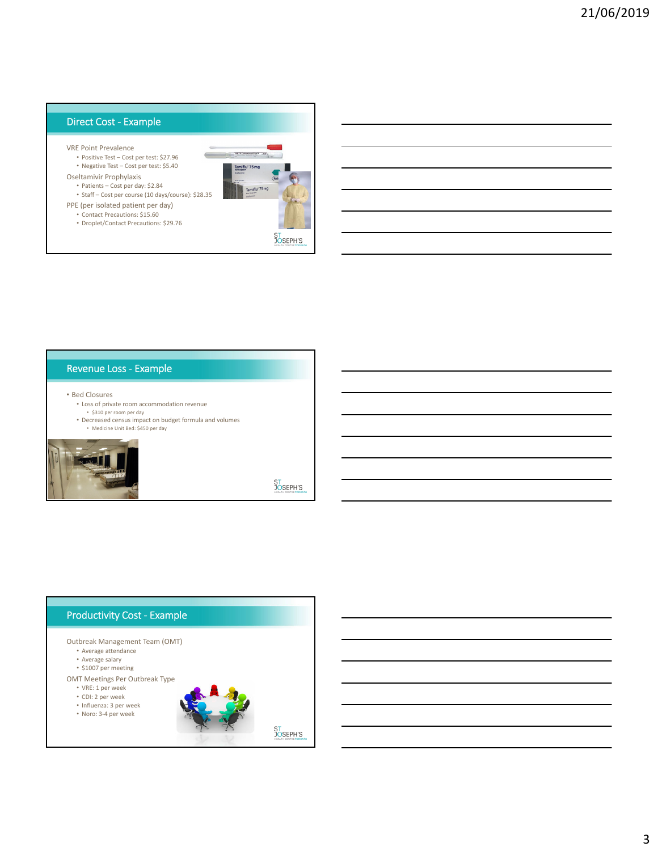# Direct Cost ‐ Example

- VRE Point Prevalence
	- Positive Test Cost per test: \$27.96 • Negative Test – Cost per test: \$5.40
- Oseltamivir Prophylaxis
	- Patients Cost per day: \$2.84
- Staff Cost per course (10 days/course): \$28.35 PPE (per isolated patient per day)
	- Contact Precautions: \$15.60
	- Droplet/Contact Precautions: \$29.76



## Revenue Loss ‐ Example

- Bed Closures
	- Loss of private room accommodation revenue • \$310 per room per day
	-
	- Decreased census impact on budget formula and volumes • Medicine Unit Bed: \$450 per day



**ST<br>JOSEPH'S** 

## Productivity Cost ‐ Example Outbreak Management Team (OMT) • Average attendance • Average salary • \$1007 per meeting OMT Meetings Per Outbreak Type • VRE: 1 per week • CDI: 2 per week • Influenza: 3 per week • Noro: 3‐4 per weekST<br>JOSEPH'S<br>HEALTH CENTRE TORONTO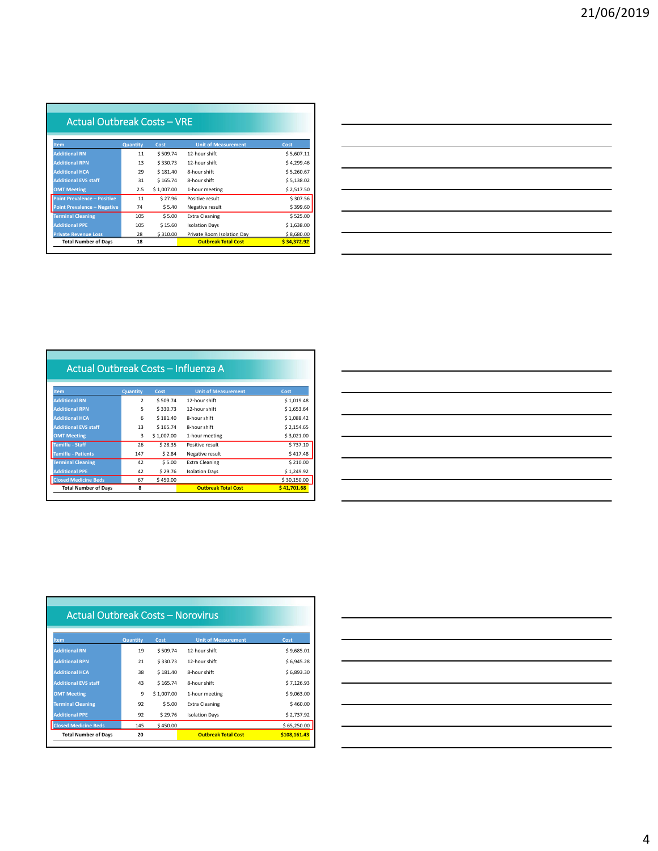| Actual Outbreak Costs - VRE        |          |            |                            |             |
|------------------------------------|----------|------------|----------------------------|-------------|
| <b>Item</b>                        | Quantity | Cost       | <b>Unit of Measurement</b> | Cost        |
| <b>Additional RN</b>               | 11       | \$509.74   | 12-hour shift              | \$5,607.11  |
| <b>Additional RPN</b>              | 13       | \$330.73   | 12-hour shift              | \$4.299.46  |
| <b>Additional HCA</b>              | 29       | \$181.40   | 8-hour shift               | \$5.260.67  |
| <b>Additional EVS staff</b>        | 31       | \$165.74   | 8-hour shift               | \$5,138.02  |
| <b>OMT Meeting</b>                 | 2.5      | \$1,007.00 | 1-hour meeting             | \$2,517.50  |
| <b>Point Prevalence - Positive</b> | 11       | \$27.96    | Positive result            | \$307.56    |
| <b>Point Prevalence - Negative</b> | 74       | \$5.40     | Negative result            | \$399.60    |
| <b>Terminal Cleaning</b>           | 105      | \$5.00     | <b>Extra Cleaning</b>      | \$525.00    |
| <b>Additional PPE</b>              | 105      | \$15.60    | <b>Isolation Days</b>      | \$1,638,00  |
| <b>Private Revenue Loss</b>        | 28       | \$310.00   | Private Room Isolation Day | \$8,680.00  |
| <b>Total Number of Days</b>        | 18       |            | <b>Outbreak Total Cost</b> | \$34,372.92 |

|                                                                                                                                                                                                                                      |  | ______ |
|--------------------------------------------------------------------------------------------------------------------------------------------------------------------------------------------------------------------------------------|--|--------|
|                                                                                                                                                                                                                                      |  |        |
|                                                                                                                                                                                                                                      |  |        |
|                                                                                                                                                                                                                                      |  |        |
|                                                                                                                                                                                                                                      |  |        |
|                                                                                                                                                                                                                                      |  |        |
|                                                                                                                                                                                                                                      |  |        |
|                                                                                                                                                                                                                                      |  |        |
| <u>successive and the contract of the contract of the contract of the contract of the contract of the contract of the contract of the contract of the contract of the contract of the contract of the contract of the contract o</u> |  |        |
|                                                                                                                                                                                                                                      |  |        |
|                                                                                                                                                                                                                                      |  |        |
|                                                                                                                                                                                                                                      |  |        |
|                                                                                                                                                                                                                                      |  |        |

|                             | Actual Outbreak Costs - Influenza A |            |                            |             |  |
|-----------------------------|-------------------------------------|------------|----------------------------|-------------|--|
|                             |                                     |            |                            |             |  |
|                             |                                     |            |                            |             |  |
| <b>Item</b>                 | Quantity                            | Cost       | <b>Unit of Measurement</b> | Cost        |  |
| <b>Additional RN</b>        | $\overline{2}$                      | \$509.74   | 12-hour shift              | \$1,019.48  |  |
| <b>Additional RPN</b>       | 5                                   | \$330.73   | 12-hour shift              | \$1,653.64  |  |
| <b>Additional HCA</b>       | 6                                   | \$181.40   | 8-hour shift               | \$1.088.42  |  |
| <b>Additional EVS staff</b> | 13                                  | \$165.74   | 8-hour shift               | \$2.154.65  |  |
| <b>OMT Meeting</b>          | 3                                   | \$1,007.00 | 1-hour meeting             | \$3,021.00  |  |
| <b>Tamiflu - Staff</b>      | 26                                  | \$28.35    | Positive result            | \$737.10    |  |
| <b>Tamiflu - Patients</b>   | 147                                 | \$2.84     | Negative result            | \$417.48    |  |
| <b>Terminal Cleaning</b>    | 42                                  | \$5.00     | <b>Extra Cleaning</b>      | \$210.00    |  |
| <b>Additional PPE</b>       | 42                                  | \$29.76    | <b>Isolation Days</b>      | \$1,249.92  |  |
| <b>Closed Medicine Beds</b> | 67                                  | \$450.00   |                            | \$30,150.00 |  |
| <b>Total Number of Days</b> | 8                                   |            | <b>Outbreak Total Cost</b> | \$41.701.68 |  |
|                             |                                     |            |                            |             |  |

| ,我们也不会有什么?""我们的人,我们也不会有什么?""我们的人,我们也不会有什么?""我们的人,我们也不会有什么?""我们的人,我们也不会有什么?""我们的人  |  |
|-----------------------------------------------------------------------------------|--|
|                                                                                   |  |
| ,我们也不会有一个人的人,我们也不会有一个人的人,我们也不会有一个人的人,我们也不会有一个人的人,我们也不会有一个人的人,我们也不会有一个人的人,我们也不会有一个 |  |
|                                                                                   |  |
|                                                                                   |  |
|                                                                                   |  |
|                                                                                   |  |
|                                                                                   |  |
| the control of the control of the control of the control of the control of        |  |
|                                                                                   |  |

| Actual Outbreak Costs – Norovirus |          |            |                            |              |
|-----------------------------------|----------|------------|----------------------------|--------------|
| <b>Item</b>                       | Quantity | Cost       | <b>Unit of Measurement</b> | Cost         |
| <b>Additional RN</b>              | 19       | \$509.74   | 12-hour shift              | \$9.685.01   |
| <b>Additional RPN</b>             | 21       | \$330.73   | 12-hour shift              | \$6.945.28   |
| <b>Additional HCA</b>             | 38       | \$181.40   | 8-hour shift               | \$6,893.30   |
| <b>Additional EVS staff</b>       | 43       | \$165.74   | 8-hour shift               | \$7,126.93   |
| <b>OMT Meeting</b>                | 9        | \$1,007.00 | 1-hour meeting             | \$9.063.00   |
| <b>Terminal Cleaning</b>          | 92       | \$5.00     | <b>Extra Cleaning</b>      | \$460.00     |
| <b>Additional PPE</b>             | 92       | \$29.76    | <b>Isolation Days</b>      | \$2,737.92   |
| <b>Closed Medicine Beds</b>       | 145      | \$450.00   |                            | \$65,250.00  |
| <b>Total Number of Days</b>       | 20       |            | <b>Outbreak Total Cost</b> | \$108.161.43 |